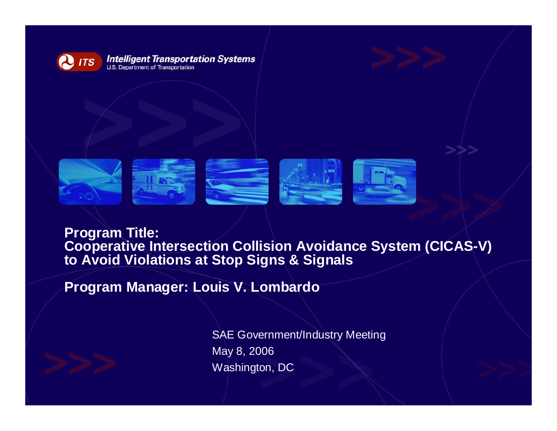



Program Title:<br>Cooperative Intersection Collision Avoidance System (CICAS-V) **to Avoid Violations at Stop Signs & Signals**

**Program Manager: Louis V. Lombardo**



SAE Government/Industry Meeting May 8, 2006 Washington, DC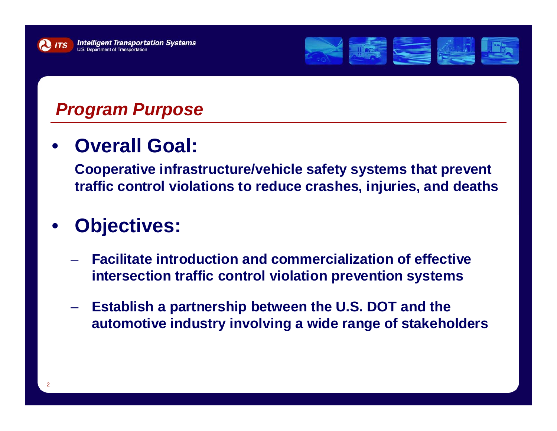



## *Program Purpose*

•**Overall Goal:** 

> **Cooperative infrastructure/vehicle safety systems that prevent traffic control violations to reduce crashes, injuries, and deaths**

#### •**Objectives:**

- **Facilitate introduction and commercialization of effective intersection traffic control violation prevention systems**
- – **Establish a partnership between the U.S. DOT and the automotive industry involving a wide range of stakeholders**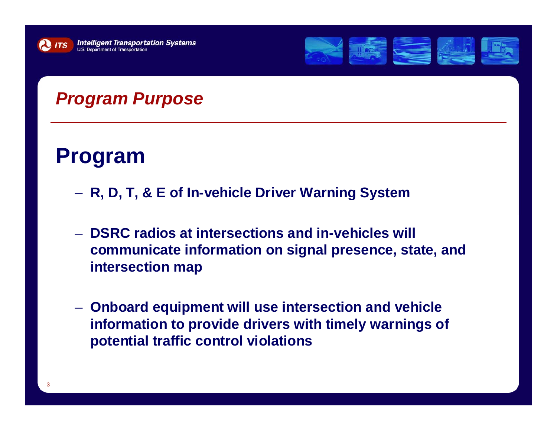



### *Program Purpose*

# **Program**

- **R, D, T, & E of In-vehicle Driver Warning System**
- **DSRC radios at intersections and in-vehicles will communicate information on signal presence, state, and intersection map**
- **Onboard equipment will use intersection and vehicle information to provide drivers with timely warnings of potential traffic control violations**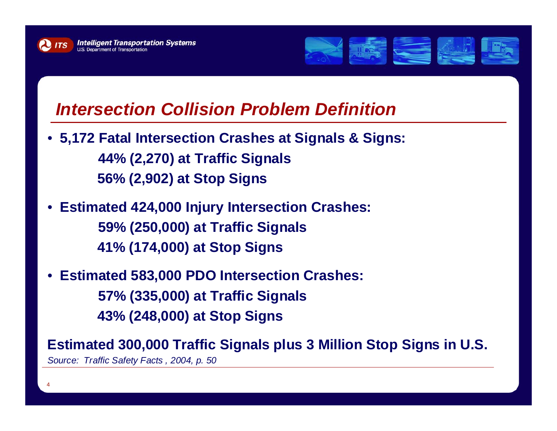

4



#### *Intersection Collision Problem Definition*

- **5,172 Fatal Intersection Crashes at Signals & Signs: 44% (2,270) at Traffic Signals 56% (2,902) at Stop Signs**
- **Estimated 424,000 Injury Intersection Crashes: 59% (250,000) at Traffic Signals 41% (174,000) at Stop Signs**
- **Estimated 583,000 PDO Intersection Crashes: 57% (335,000) at Traffic Signals 43% (248,000) at Stop Signs**

**Estimated 300,000 Traffic Signals plus 3 Million Stop Signs in U.S.**  *Source: Traffic Safety Facts , 2004, p. 50*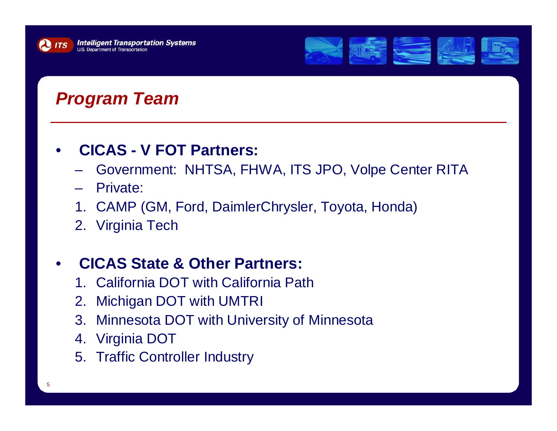



## *Program Team*

#### •**CICAS - V FOT Partners:**

- Government: NHTSA, FHWA, ITS JPO, Volpe Center RITA
- –Private:
- 1. CAMP (GM, Ford, DaimlerChrysler, Toyota, Honda)
- 2. Virginia Tech

#### •**CICAS State & Other Partners:**

- 1. California DOT with California Path
- 2. Michigan DOT with UMTRI
- 3. Minnesota DOT with University of Minnesota
- 4. Virginia DOT
- 5. Traffic Controller Industry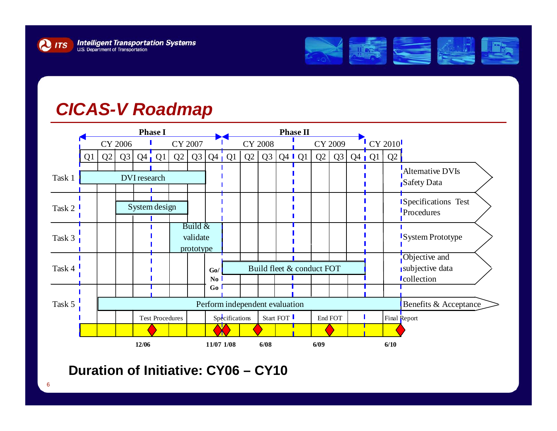



#### *CICAS-V Roadmap*



#### **Duration of Initiative: CY06 – CY10**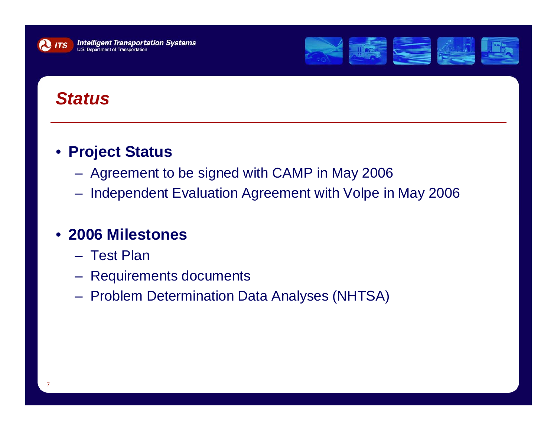



### *Status*

#### • **Project Status**

- Agreement to be signed with CAMP in May 2006
- Independent Evaluation Agreement with Volpe in May 2006

#### • **2006 Milestones**

- Test Plan
- Requirements documents
- Problem Determination Data Analyses (NHTSA)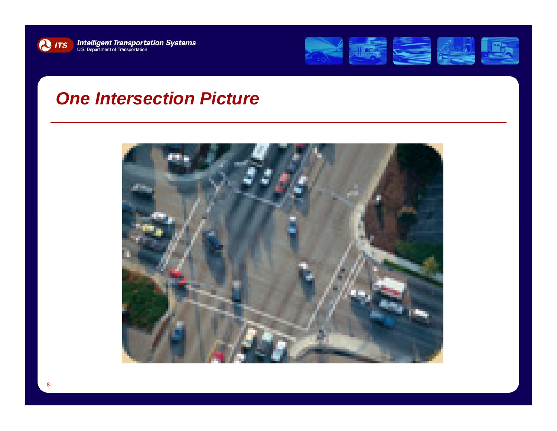



#### *One Intersection Picture*

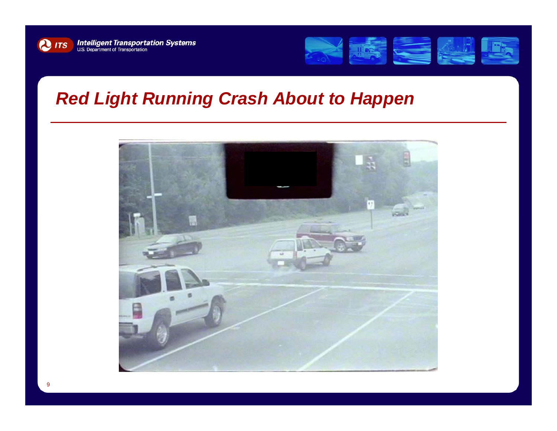



### *Red Light Running Crash About to Happen*